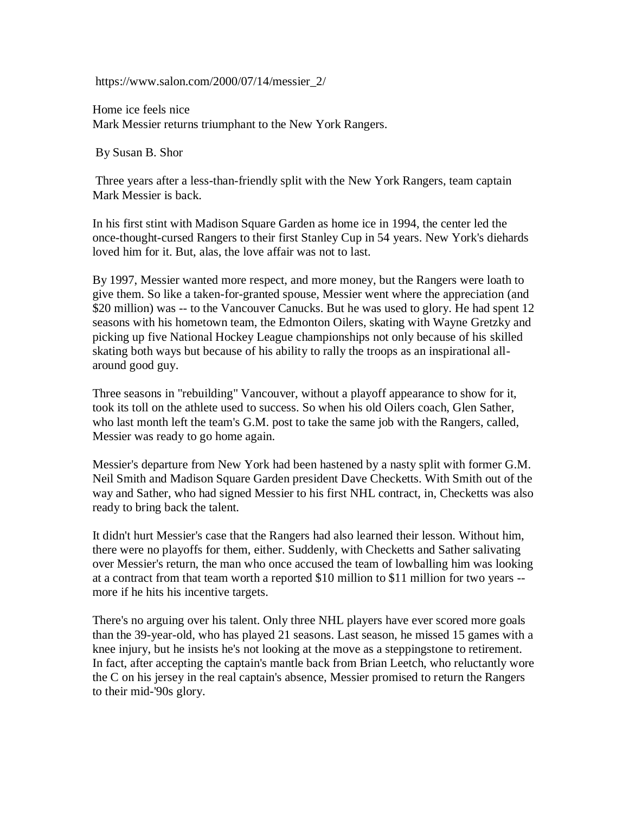https://www.salon.com/2000/07/14/messier\_2/

Home ice feels nice Mark Messier returns triumphant to the New York Rangers.

By Susan B. Shor

Three years after a less-than-friendly split with the New York Rangers, team captain Mark Messier is back.

In his first stint with Madison Square Garden as home ice in 1994, the center led the once-thought-cursed Rangers to their first Stanley Cup in 54 years. New York's diehards loved him for it. But, alas, the love affair was not to last.

By 1997, Messier wanted more respect, and more money, but the Rangers were loath to give them. So like a taken-for-granted spouse, Messier went where the appreciation (and \$20 million) was -- to the Vancouver Canucks. But he was used to glory. He had spent 12 seasons with his hometown team, the Edmonton Oilers, skating with Wayne Gretzky and picking up five National Hockey League championships not only because of his skilled skating both ways but because of his ability to rally the troops as an inspirational allaround good guy.

Three seasons in "rebuilding" Vancouver, without a playoff appearance to show for it, took its toll on the athlete used to success. So when his old Oilers coach, Glen Sather, who last month left the team's G.M. post to take the same job with the Rangers, called, Messier was ready to go home again.

Messier's departure from New York had been hastened by a nasty split with former G.M. Neil Smith and Madison Square Garden president Dave Checketts. With Smith out of the way and Sather, who had signed Messier to his first NHL contract, in, Checketts was also ready to bring back the talent.

It didn't hurt Messier's case that the Rangers had also learned their lesson. Without him, there were no playoffs for them, either. Suddenly, with Checketts and Sather salivating over Messier's return, the man who once accused the team of lowballing him was looking at a contract from that team worth a reported \$10 million to \$11 million for two years - more if he hits his incentive targets.

There's no arguing over his talent. Only three NHL players have ever scored more goals than the 39-year-old, who has played 21 seasons. Last season, he missed 15 games with a knee injury, but he insists he's not looking at the move as a steppingstone to retirement. In fact, after accepting the captain's mantle back from Brian Leetch, who reluctantly wore the C on his jersey in the real captain's absence, Messier promised to return the Rangers to their mid-'90s glory.